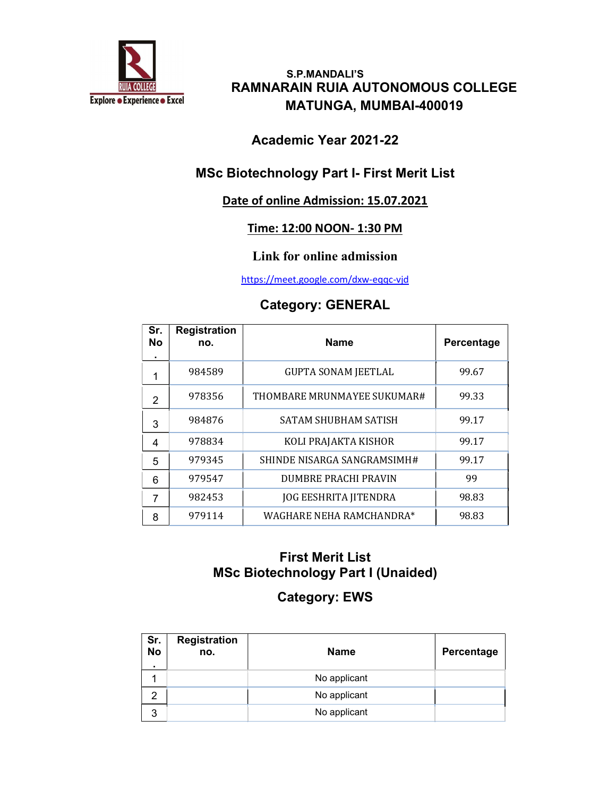

 S.P.MANDALI'S RAMNARAIN RUIA AUTONOMOUS COLLEGE MATUNGA, MUMBAI-400019

#### Academic Year 2021-22

#### MSc Biotechnology Part I- First Merit List

#### Date of online Admission: 15.07.2021

#### Time: 12:00 NOON- 1:30 PM

#### Link for online admission

https://meet.google.com/dxw-eqqc-vjd

#### Category: GENERAL

| Sr.<br><b>No</b><br>$\blacksquare$ | <b>Registration</b><br>no. | <b>Name</b>                  | Percentage |
|------------------------------------|----------------------------|------------------------------|------------|
| 1                                  | 984589                     | <b>GUPTA SONAM JEETLAL</b>   | 99.67      |
| $\mathcal{P}$                      | 978356                     | THOMBARE MRUNMAYEE SUKUMAR#  | 99.33      |
| 3                                  | 984876                     | <b>SATAM SHUBHAM SATISH</b>  | 99.17      |
| 4                                  | 978834                     | KOLI PRAJAKTA KISHOR         | 99.17      |
| 5                                  | 979345                     | SHINDE NISARGA SANGRAMSIMH#  | 99.17      |
| 6                                  | 979547                     | <b>DUMBRE PRACHI PRAVIN</b>  | 99         |
| 7                                  | 982453                     | <b>JOG EESHRITA JITENDRA</b> | 98.83      |
| 8                                  | 979114                     | WAGHARE NEHA RAMCHANDRA*     | 98.83      |

#### First Merit List MSc Biotechnology Part I (Unaided)

# Category: EWS

| Sr.<br>No<br>$\blacksquare$ | <b>Registration</b><br>no. | <b>Name</b>  | Percentage |
|-----------------------------|----------------------------|--------------|------------|
|                             |                            | No applicant |            |
| 2                           |                            | No applicant |            |
| ີ                           |                            | No applicant |            |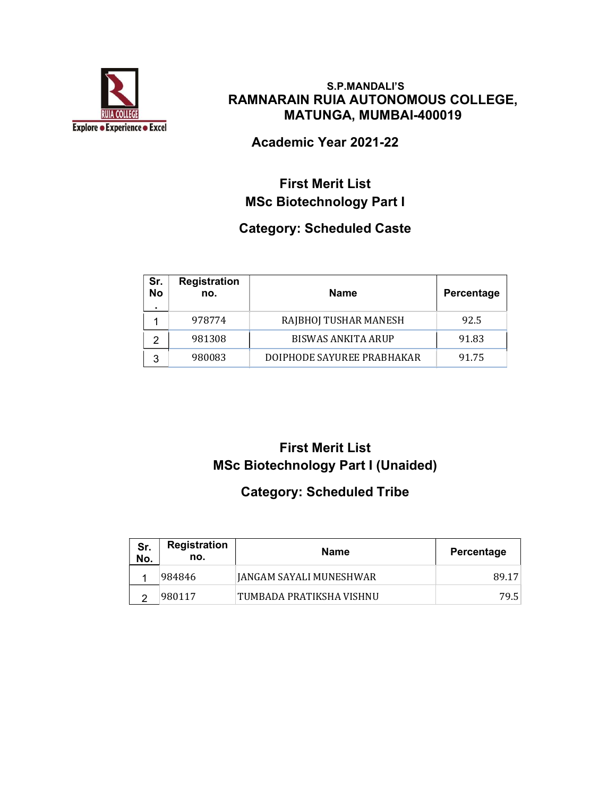

#### S.P.MANDALI'S RAMNARAIN RUIA AUTONOMOUS COLLEGE, MATUNGA, MUMBAI-400019

Academic Year 2021-22

# First Merit List MSc Biotechnology Part I

# Category: Scheduled Caste

| Sr.<br><b>No</b> | <b>Registration</b><br>no. | <b>Name</b>                | <b>Percentage</b> |
|------------------|----------------------------|----------------------------|-------------------|
|                  | 978774                     | RAJBHOJ TUSHAR MANESH      | 92.5              |
|                  | 981308                     | <b>BISWAS ANKITA ARUP</b>  | 91.83             |
| 3                | 980083                     | DOIPHODE SAYUREE PRABHAKAR | 91.75             |

# First Merit List MSc Biotechnology Part I (Unaided)

### Category: Scheduled Tribe

| Sr.<br>No. | Registration<br>no. | Name                      | Percentage |
|------------|---------------------|---------------------------|------------|
|            | 984846              | JANGAM SAYALI MUNESHWAR   | 89.17      |
|            | 980117              | 'TUMBADA PRATIKSHA VISHNU | 79.5       |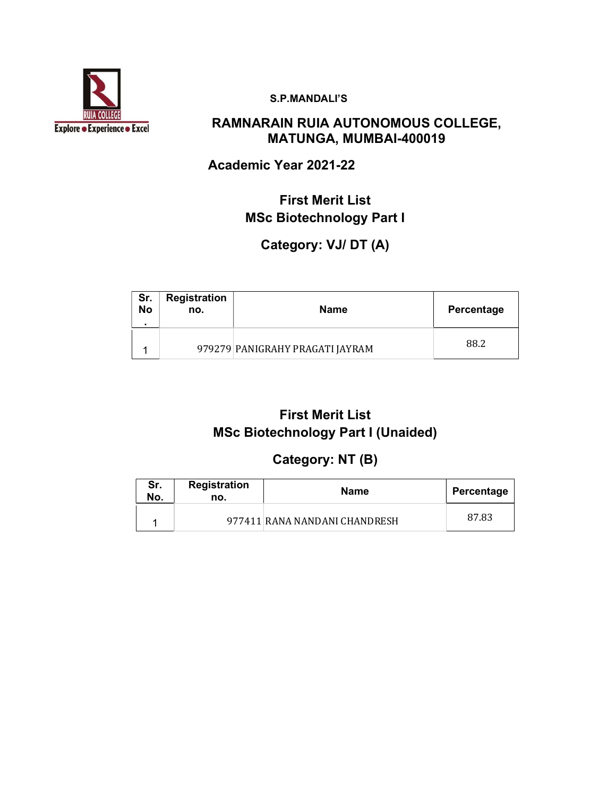

#### S.P.MANDALI'S

### RAMNARAIN RUIA AUTONOMOUS COLLEGE, MATUNGA, MUMBAI-400019

### Academic Year 2021-22

### First Merit List MSc Biotechnology Part I

### Category: VJ/ DT (A)

| Sr.<br><b>No</b> | <b>Registration</b><br>no. | Name                            | Percentage |
|------------------|----------------------------|---------------------------------|------------|
|                  |                            | 979279 PANIGRAHY PRAGATI JAYRAM | 88.2       |

## First Merit List MSc Biotechnology Part I (Unaided)

### Category: NT (B)

| Sr.<br>No. | <b>Registration</b><br>no. | <b>Name</b>                   | Percentage |
|------------|----------------------------|-------------------------------|------------|
|            |                            | 977411 RANA NANDANI CHANDRESH | 87.83      |